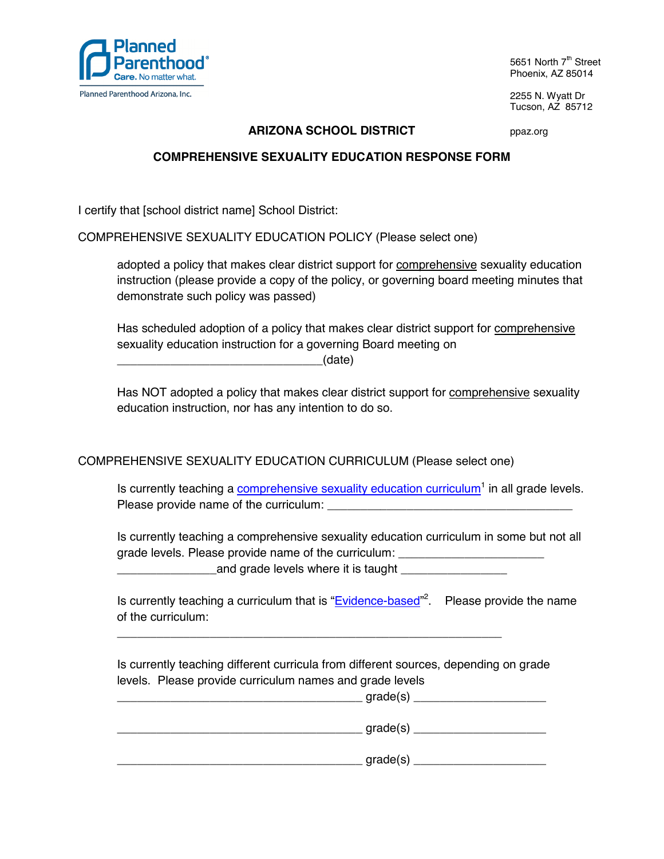

5651 North 7<sup>th</sup> Street Phoenix, AZ 85014

2255 N. Wyatt Dr Tucson, AZ 85712

## **ARIZONA SCHOOL DISTRICT** ppaz.org

## **COMPREHENSIVE SEXUALITY EDUCATION RESPONSE FORM**

I certify that [school district name] School District:

COMPREHENSIVE SEXUALITY EDUCATION POLICY (Please select one)

 adopted a policy that makes clear district support for comprehensive sexuality education instruction (please provide a copy of the policy, or governing board meeting minutes that demonstrate such policy was passed)

 Has scheduled adoption of a policy that makes clear district support for comprehensive sexuality education instruction for a governing Board meeting on

 $_1$   $_2$   $_3$   $_4$   $_5$   $_6$   $_7$   $_8$   $_9$   $_9$   $_1$   $_6$   $_6$   $_7$   $_8$   $_9$   $_1$   $_6$   $_7$   $_8$   $_9$   $_1$   $_1$   $_2$   $_3$   $_4$   $_7$   $_8$   $_9$   $_1$   $_3$   $_4$   $_7$   $_8$   $_9$   $_1$   $_3$   $_4$   $_7$   $_8$   $_9$   $_1$   $_3$   $_4$ 

 Has NOT adopted a policy that makes clear district support for comprehensive sexuality education instruction, nor has any intention to do so.

COMPREHENSIVE SEXUALITY EDUCATION CURRICULUM (Please select one)

Is currently teaching a comprehensive sexuality education curriculum<sup>1</sup> in all grade levels. Please provide name of the curriculum: \_\_\_\_\_\_\_\_\_\_\_\_\_\_\_\_\_\_\_\_\_\_\_\_\_\_\_\_\_\_\_\_\_\_\_\_\_

 Is currently teaching a comprehensive sexuality education curriculum in some but not all grade levels. Please provide name of the curriculum:

\_\_\_\_\_\_\_\_\_\_\_\_\_\_\_and grade levels where it is taught \_\_\_\_\_\_\_\_\_\_\_\_\_\_\_\_

Is currently teaching a curriculum that is "**Evidence-based**"<sup>2</sup>. Please provide the name of the curriculum:

 Is currently teaching different curricula from different sources, depending on grade levels. Please provide curriculum names and grade levels

\_\_\_\_\_\_\_\_\_\_\_\_\_\_\_\_\_\_\_\_\_\_\_\_\_\_\_\_\_\_\_\_\_\_\_\_\_\_\_\_\_\_\_\_\_\_\_\_\_\_\_\_\_\_\_\_\_\_

| grade(s) |
|----------|
| grade(s) |
| grade(s) |